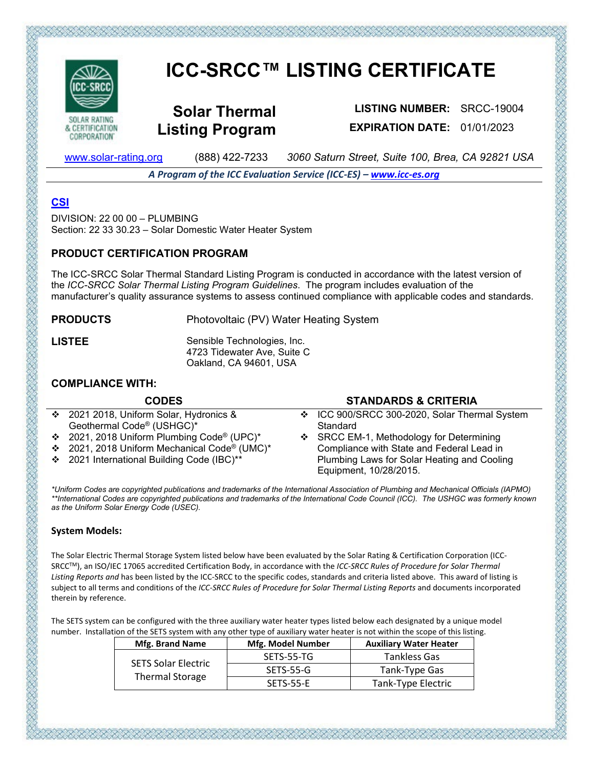

CORPORATION'

# **ICC-SRCC™ LISTING CERTIFICATE**

**Solar Thermal Listing Program**

**LISTING NUMBER:** SRCC-19004 **EXPIRATION DATE:** 01/01/2023

[www.solar-rating.org](http://www.solar-rating.org/) (888) 422-7233 *3060 Saturn Street, Suite 100, Brea, CA 92821 USA*

*A Program of the ICC Evaluation Service (ICC-ES) – [www.icc-es.org](http://www.icc-es.org/)*

# **[CSI](https://www.arcat.com/)**

DIVISION: 22 00 00 – PLUMBING Section: 22 33 30.23 – Solar Domestic Water Heater System

#### **PRODUCT CERTIFICATION PROGRAM**

The ICC-SRCC Solar Thermal Standard Listing Program is conducted in accordance with the latest version of the *ICC-SRCC Solar Thermal Listing Program Guidelines*. The program includes evaluation of the manufacturer's quality assurance systems to assess continued compliance with applicable codes and standards.

**PRODUCTS** Photovoltaic (PV) Water Heating System

**LISTEE** Sensible Technologies, Inc. 4723 Tidewater Ave, Suite C Oakland, CA 94601, USA

### **COMPLIANCE WITH:**

| <b>CODES</b>                                 | <b>STANDARDS &amp; CRITERIA</b>               |
|----------------------------------------------|-----------------------------------------------|
| ❖ 2021 2018, Uniform Solar, Hydronics &      | ❖ ICC 900/SRCC 300-2020, Solar Thermal System |
| Geothermal Code® (USHGC)*                    | Standard                                      |
| ❖ 2021, 2018 Uniform Plumbing Code® (UPC)*   | ❖ SRCC EM-1, Methodology for Determining      |
| ❖ 2021, 2018 Uniform Mechanical Code® (UMC)* | Compliance with State and Federal Lead in     |
| ❖ 2021 International Building Code (IBC)**   | Plumbing Laws for Solar Heating and Cooling   |
|                                              | Equipment, 10/28/2015.                        |

*\*Uniform Codes are copyrighted publications and trademarks of the International Association of Plumbing and Mechanical Officials (IAPMO) \*\*International Codes are copyrighted publications and trademarks of the International Code Council (ICC). The USHGC was formerly known as the Uniform Solar Energy Code (USEC).*

#### **System Models:**

The Solar Electric Thermal Storage System listed below have been evaluated by the Solar Rating & Certification Corporation (ICC-SRCCTM), an ISO/IEC 17065 accredited Certification Body, in accordance with the *ICC-SRCC Rules of Procedure for Solar Thermal Listing Reports and* has been listed by the ICC-SRCC to the specific codes, standards and criteria listed above. This award of listing is subject to all terms and conditions of the *ICC-SRCC Rules of Procedure for Solar Thermal Listing Reports* and documents incorporated therein by reference.

The SETS system can be configured with the three auxiliary water heater types listed below each designated by a unique model number. Installation of the SETS system with any other type of auxiliary water heater is not within the scope of this listing.

ちつうかいでんかいかいかいかいでんかいかいでんかいだいがく かいだいがく

| Mfg. Brand Name                                      | <b>Mfg. Model Number</b> | <b>Auxiliary Water Heater</b> |
|------------------------------------------------------|--------------------------|-------------------------------|
|                                                      | SETS-55-TG               | Tankless Gas                  |
| <b>SETS Solar Electric</b><br><b>Thermal Storage</b> | SETS-55-G                | Tank-Type Gas                 |
|                                                      | SETS-55-E                | Tank-Type Electric            |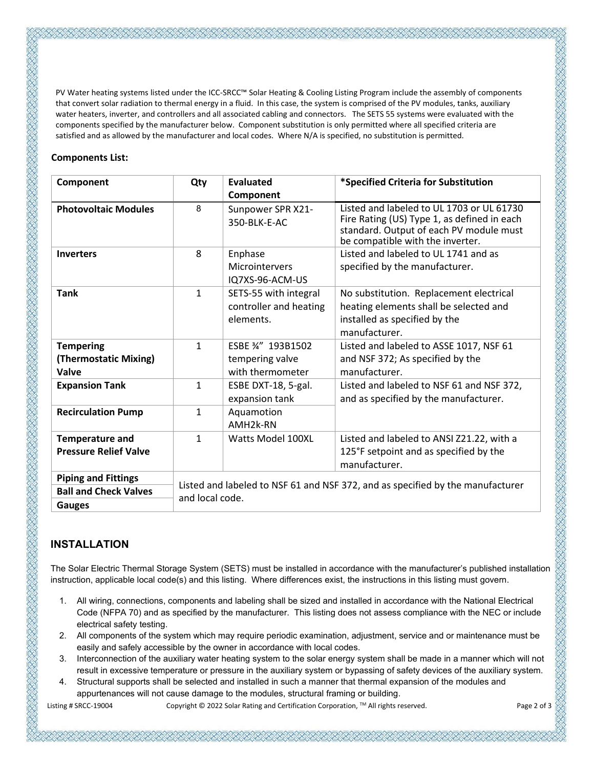PV Water heating systems listed under the ICC-SRCC™ Solar Heating & Cooling Listing Program include the assembly of components that convert solar radiation to thermal energy in a fluid. In this case, the system is comprised of the PV modules, tanks, auxiliary water heaters, inverter, and controllers and all associated cabling and connectors. The SETS 55 systems were evaluated with the components specified by the manufacturer below. Component substitution is only permitted where all specified criteria are satisfied and as allowed by the manufacturer and local codes. Where N/A is specified, no substitution is permitted.

#### **Components List:**

| Component                                                                   | Qty                                                                                               | <b>Evaluated</b>                                             | *Specified Criteria for Substitution                                                                                                                                    |  |
|-----------------------------------------------------------------------------|---------------------------------------------------------------------------------------------------|--------------------------------------------------------------|-------------------------------------------------------------------------------------------------------------------------------------------------------------------------|--|
|                                                                             |                                                                                                   | Component                                                    |                                                                                                                                                                         |  |
| <b>Photovoltaic Modules</b>                                                 | 8                                                                                                 | Sunpower SPR X21-<br>350-BLK-E-AC                            | Listed and labeled to UL 1703 or UL 61730<br>Fire Rating (US) Type 1, as defined in each<br>standard. Output of each PV module must<br>be compatible with the inverter. |  |
| <b>Inverters</b>                                                            | 8                                                                                                 | Enphase<br>Microintervers<br>IQ7XS-96-ACM-US                 | Listed and labeled to UL 1741 and as<br>specified by the manufacturer.                                                                                                  |  |
| <b>Tank</b>                                                                 | $\mathbf{1}$                                                                                      | SETS-55 with integral<br>controller and heating<br>elements. | No substitution. Replacement electrical<br>heating elements shall be selected and<br>installed as specified by the<br>manufacturer.                                     |  |
| <b>Tempering</b><br>(Thermostatic Mixing)<br>Valve                          | $\mathbf{1}$                                                                                      | ESBE 34" 193B1502<br>tempering valve<br>with thermometer     | Listed and labeled to ASSE 1017, NSF 61<br>and NSF 372; As specified by the<br>manufacturer.                                                                            |  |
| <b>Expansion Tank</b>                                                       | $\mathbf{1}$                                                                                      | ESBE DXT-18, 5-gal.<br>expansion tank                        | Listed and labeled to NSF 61 and NSF 372,<br>and as specified by the manufacturer.                                                                                      |  |
| <b>Recirculation Pump</b>                                                   | $\mathbf{1}$                                                                                      | Aquamotion<br>AMH <sub>2</sub> k-RN                          |                                                                                                                                                                         |  |
| <b>Temperature and</b><br><b>Pressure Relief Valve</b>                      | $\mathbf{1}$                                                                                      | <b>Watts Model 100XL</b>                                     | Listed and labeled to ANSI Z21.22, with a<br>125°F setpoint and as specified by the<br>manufacturer.                                                                    |  |
| <b>Piping and Fittings</b><br><b>Ball and Check Valves</b><br><b>Gauges</b> | Listed and labeled to NSF 61 and NSF 372, and as specified by the manufacturer<br>and local code. |                                                              |                                                                                                                                                                         |  |

## **INSTALLATION**

The Solar Electric Thermal Storage System (SETS) must be installed in accordance with the manufacturer's published installation instruction, applicable local code(s) and this listing. Where differences exist, the instructions in this listing must govern.

- 1. All wiring, connections, components and labeling shall be sized and installed in accordance with the National Electrical Code (NFPA 70) and as specified by the manufacturer. This listing does not assess compliance with the NEC or include electrical safety testing.
- 2. All components of the system which may require periodic examination, adjustment, service and or maintenance must be easily and safely accessible by the owner in accordance with local codes.
- 3. Interconnection of the auxiliary water heating system to the solar energy system shall be made in a manner which will not result in excessive temperature or pressure in the auxiliary system or bypassing of safety devices of the auxiliary system.
- 4. Structural supports shall be selected and installed in such a manner that thermal expansion of the modules and appurtenances will not cause damage to the modules, structural framing or building.

Listing # SRCC-19004 Copyright © 2022 Solar Rating and Certification Corporation, ™ All rights reserved. Page 2 of 3